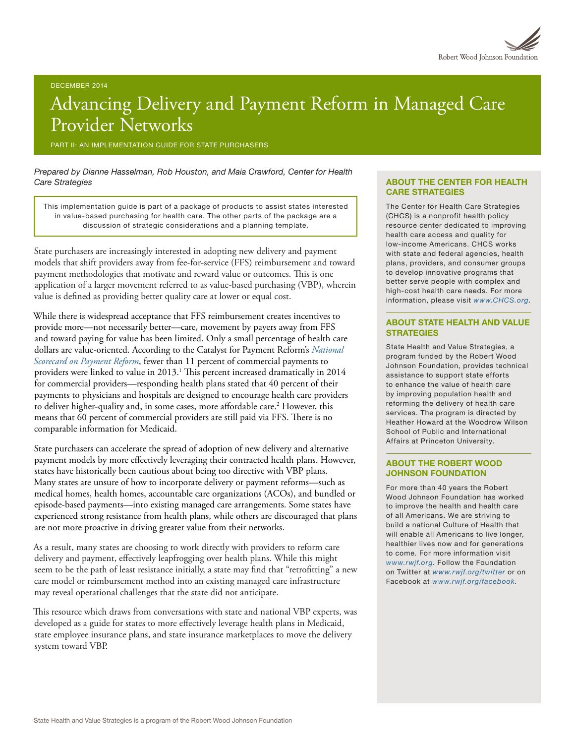# Advancing Delivery and Payment Reform in Managed Care Provider Networks

PART II: AN IMPLEMENTATION GUIDE FOR STATE PURCHASERS

*Prepared by Dianne Hasselman, Rob Houston, and Maia Crawford, Center for Health Care Strategies*

This implementation guide is part of a package of products to assist states interested in value-based purchasing for health care. The other parts of the package are a discussion of strategic considerations and a planning template.

State purchasers are increasingly interested in adopting new delivery and payment models that shift providers away from fee-for-service (FFS) reimbursement and toward payment methodologies that motivate and reward value or outcomes. This is one application of a larger movement referred to as value-based purchasing (VBP), wherein value is defined as providing better quality care at lower or equal cost.

While there is widespread acceptance that FFS reimbursement creates incentives to provide more—not necessarily better—care, movement by payers away from FFS and toward paying for value has been limited. Only a small percentage of health care dollars are value-oriented. According to the Catalyst for Payment Reform's *[National](http://www.catalyzepaymentreform.org/images/documents/NationalScorecard.pdf)  [Scorecard on Payment Reform](http://www.catalyzepaymentreform.org/images/documents/NationalScorecard.pdf)*, fewer than 11 percent of commercial payments to providers were linked to value in 2013.<sup>1</sup> This percent increased dramatically in 2014 for commercial providers—responding health plans stated that 40 percent of their payments to physicians and hospitals are designed to encourage health care providers to deliver higher-quality and, in some cases, more affordable care.<sup>2</sup> However, this means that 60 percent of commercial providers are still paid via FFS. There is no comparable information for Medicaid.

State purchasers can accelerate the spread of adoption of new delivery and alternative payment models by more effectively leveraging their contracted health plans. However, states have historically been cautious about being too directive with VBP plans. Many states are unsure of how to incorporate delivery or payment reforms—such as medical homes, health homes, accountable care organizations (ACOs), and bundled or episode-based payments—into existing managed care arrangements. Some states have experienced strong resistance from health plans, while others are discouraged that plans are not more proactive in driving greater value from their networks.

As a result, many states are choosing to work directly with providers to reform care delivery and payment, effectively leapfrogging over health plans. While this might seem to be the path of least resistance initially, a state may find that "retrofitting" a new care model or reimbursement method into an existing managed care infrastructure may reveal operational challenges that the state did not anticipate.

This resource which draws from conversations with state and national VBP experts, was developed as a guide for states to more effectively leverage health plans in Medicaid, state employee insurance plans, and state insurance marketplaces to move the delivery system toward VBP.

#### ABOUT THE CENTER FOR HEALTH CARE STRATEGIES

The Center for Health Care Strategies (CHCS) is a nonprofit health policy resource center dedicated to improving health care access and quality for low-income Americans. CHCS works with state and federal agencies, health plans, providers, and consumer groups to develop innovative programs that better serve people with complex and high-cost health care needs. For more information, please visit *[www.CHCS.org](http://www.CHCS.org)*.

#### ABOUT STATE HEALTH AND VALUE **STRATEGIES**

State Health and Value Strategies, a program funded by the Robert Wood Johnson Foundation, provides technical assistance to support state efforts to enhance the value of health care by improving population health and reforming the delivery of health care services. The program is directed by Heather Howard at the Woodrow Wilson School of Public and International Affairs at Princeton University.

#### ABOUT THE ROBERT WOOD JOHNSON FOUNDATION

For more than 40 years the Robert Wood Johnson Foundation has worked to improve the health and health care of all Americans. We are striving to build a national Culture of Health that will enable all Americans to live longer, healthier lives now and for generations to come. For more information visit *[www.rwjf.org](http://www.rwjf.org/)*. Follow the Foundation on Twitter at *[www.rwjf.org/twitter](http://www.rwjf.org/twitter)* or on Facebook at *[www.rwjf.org/facebook](http://www.rwjf.org/facebook)*.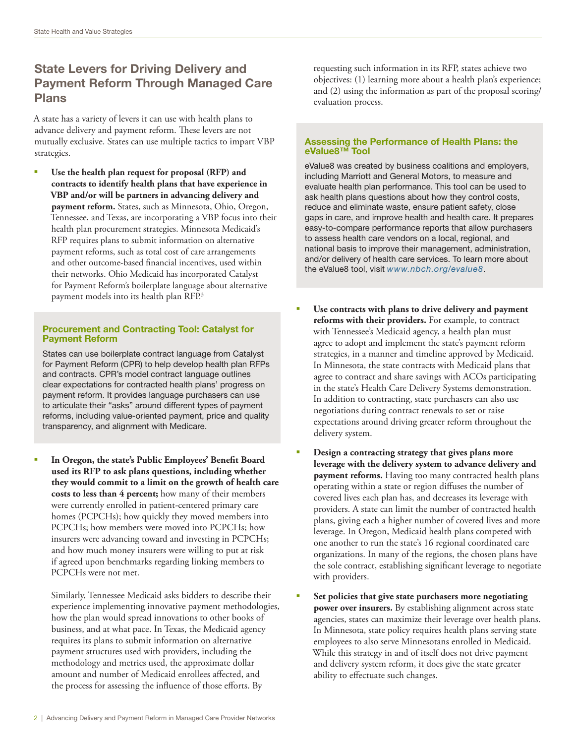## State Levers for Driving Delivery and Payment Reform Through Managed Care Plans

A state has a variety of levers it can use with health plans to advance delivery and payment reform. These levers are not mutually exclusive. States can use multiple tactics to impart VBP strategies.

§ **Use the health plan request for proposal (RFP) and contracts to identify health plans that have experience in VBP and/or will be partners in advancing delivery and payment reform.** States, such as Minnesota, Ohio, Oregon, Tennessee, and Texas, are incorporating a VBP focus into their health plan procurement strategies. Minnesota Medicaid's RFP requires plans to submit information on alternative payment reforms, such as total cost of care arrangements and other outcome-based financial incentives, used within their networks. Ohio Medicaid has incorporated Catalyst for Payment Reform's boilerplate language about alternative payment models into its health plan RFP.<sup>3</sup>

#### Procurement and Contracting Tool: Catalyst for Payment Reform

States can use boilerplate contract language from Catalyst for Payment Reform (CPR) to help develop health plan RFPs and contracts. CPR's model contract language outlines clear expectations for contracted health plans' progress on payment reform. It provides language purchasers can use to articulate their "asks" around different types of payment reforms, including value-oriented payment, price and quality transparency, and alignment with Medicare.

§ **In Oregon, the state's Public Employees' Benefit Board used its RFP to ask plans questions, including whether they would commit to a limit on the growth of health care costs to less than 4 percent;** how many of their members were currently enrolled in patient-centered primary care homes (PCPCHs); how quickly they moved members into PCPCHs; how members were moved into PCPCHs; how insurers were advancing toward and investing in PCPCHs; and how much money insurers were willing to put at risk if agreed upon benchmarks regarding linking members to PCPCHs were not met.

Similarly, Tennessee Medicaid asks bidders to describe their experience implementing innovative payment methodologies, how the plan would spread innovations to other books of business, and at what pace. In Texas, the Medicaid agency requires its plans to submit information on alternative payment structures used with providers, including the methodology and metrics used, the approximate dollar amount and number of Medicaid enrollees affected, and the process for assessing the influence of those efforts. By

requesting such information in its RFP, states achieve two objectives: (1) learning more about a health plan's experience; and (2) using the information as part of the proposal scoring/ evaluation process.

#### Assessing the Performance of Health Plans: the eValue8™ Tool

eValue8 was created by business coalitions and employers, including Marriott and General Motors, to measure and evaluate health plan performance. This tool can be used to ask health plans questions about how they control costs, reduce and eliminate waste, ensure patient safety, close gaps in care, and improve health and health care. It prepares easy-to-compare performance reports that allow purchasers to assess health care vendors on a local, regional, and national basis to improve their management, administration, and/or delivery of health care services. To learn more about the eValue8 tool, visit *[www.nbch.org/evalue8](http://www.nbch.org/evalue8)*.

- Use contracts with plans to drive delivery and payment **reforms with their providers.** For example, to contract with Tennessee's Medicaid agency, a health plan must agree to adopt and implement the state's payment reform strategies, in a manner and timeline approved by Medicaid. In Minnesota, the state contracts with Medicaid plans that agree to contract and share savings with ACOs participating in the state's Health Care Delivery Systems demonstration. In addition to contracting, state purchasers can also use negotiations during contract renewals to set or raise expectations around driving greater reform throughout the delivery system.
- § **Design a contracting strategy that gives plans more leverage with the delivery system to advance delivery and payment reforms.** Having too many contracted health plans operating within a state or region diffuses the number of covered lives each plan has, and decreases its leverage with providers. A state can limit the number of contracted health plans, giving each a higher number of covered lives and more leverage. In Oregon, Medicaid health plans competed with one another to run the state's 16 regional coordinated care organizations. In many of the regions, the chosen plans have the sole contract, establishing significant leverage to negotiate with providers.
- § **Set policies that give state purchasers more negotiating power over insurers.** By establishing alignment across state agencies, states can maximize their leverage over health plans. In Minnesota, state policy requires health plans serving state employees to also serve Minnesotans enrolled in Medicaid. While this strategy in and of itself does not drive payment and delivery system reform, it does give the state greater ability to effectuate such changes.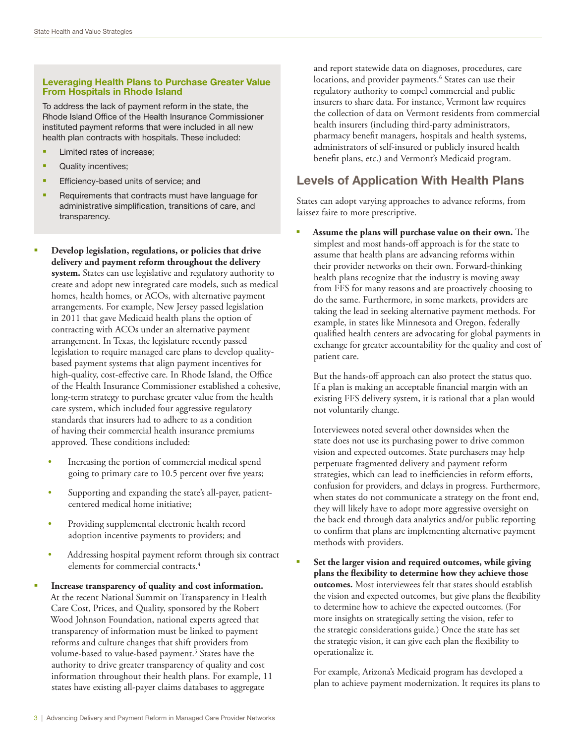#### Leveraging Health Plans to Purchase Greater Value From Hospitals in Rhode Island

To address the lack of payment reform in the state, the Rhode Island Office of the Health Insurance Commissioner instituted payment reforms that were included in all new health plan contracts with hospitals. These included:

- Limited rates of increase;
- § Quality incentives;
- **Efficiency-based units of service; and**
- Requirements that contracts must have language for administrative simplification, transitions of care, and transparency.
- § **Develop legislation, regulations, or policies that drive delivery and payment reform throughout the delivery system.** States can use legislative and regulatory authority to create and adopt new integrated care models, such as medical homes, health homes, or ACOs, with alternative payment arrangements. For example, New Jersey passed legislation in 2011 that gave Medicaid health plans the option of contracting with ACOs under an alternative payment arrangement. In Texas, the legislature recently passed legislation to require managed care plans to develop qualitybased payment systems that align payment incentives for high-quality, cost-effective care. In Rhode Island, the Office of the Health Insurance Commissioner established a cohesive, long-term strategy to purchase greater value from the health care system, which included four aggressive regulatory standards that insurers had to adhere to as a condition of having their commercial health insurance premiums approved. These conditions included:
	- Increasing the portion of commercial medical spend going to primary care to 10.5 percent over five years;
	- Supporting and expanding the state's all-payer, patientcentered medical home initiative;
	- Providing supplemental electronic health record adoption incentive payments to providers; and
	- Addressing hospital payment reform through six contract elements for commercial contracts.<sup>4</sup>
- § **Increase transparency of quality and cost information.**  At the recent National Summit on Transparency in Health Care Cost, Prices, and Quality, sponsored by the Robert Wood Johnson Foundation, national experts agreed that transparency of information must be linked to payment reforms and culture changes that shift providers from volume-based to value-based payment.<sup>5</sup> States have the authority to drive greater transparency of quality and cost information throughout their health plans. For example, 11 states have existing all-payer claims databases to aggregate

and report statewide data on diagnoses, procedures, care locations, and provider payments.<sup>6</sup> States can use their regulatory authority to compel commercial and public insurers to share data. For instance, Vermont law requires the collection of data on Vermont residents from commercial health insurers (including third-party administrators, pharmacy benefit managers, hospitals and health systems, administrators of self-insured or publicly insured health benefit plans, etc.) and Vermont's Medicaid program.

# Levels of Application With Health Plans

States can adopt varying approaches to advance reforms, from laissez faire to more prescriptive.

§ **Assume the plans will purchase value on their own.** The simplest and most hands-off approach is for the state to assume that health plans are advancing reforms within their provider networks on their own. Forward-thinking health plans recognize that the industry is moving away from FFS for many reasons and are proactively choosing to do the same. Furthermore, in some markets, providers are taking the lead in seeking alternative payment methods. For example, in states like Minnesota and Oregon, federally qualified health centers are advocating for global payments in exchange for greater accountability for the quality and cost of patient care.

But the hands-off approach can also protect the status quo. If a plan is making an acceptable financial margin with an existing FFS delivery system, it is rational that a plan would not voluntarily change.

Interviewees noted several other downsides when the state does not use its purchasing power to drive common vision and expected outcomes. State purchasers may help perpetuate fragmented delivery and payment reform strategies, which can lead to inefficiencies in reform efforts, confusion for providers, and delays in progress. Furthermore, when states do not communicate a strategy on the front end, they will likely have to adopt more aggressive oversight on the back end through data analytics and/or public reporting to confirm that plans are implementing alternative payment methods with providers.

§ **Set the larger vision and required outcomes, while giving plans the flexibility to determine how they achieve those outcomes.** Most interviewees felt that states should establish the vision and expected outcomes, but give plans the flexibility to determine how to achieve the expected outcomes. (For more insights on strategically setting the vision, refer to the strategic considerations guide*.*) Once the state has set the strategic vision, it can give each plan the flexibility to operationalize it.

For example, Arizona's Medicaid program has developed a plan to achieve payment modernization. It requires its plans to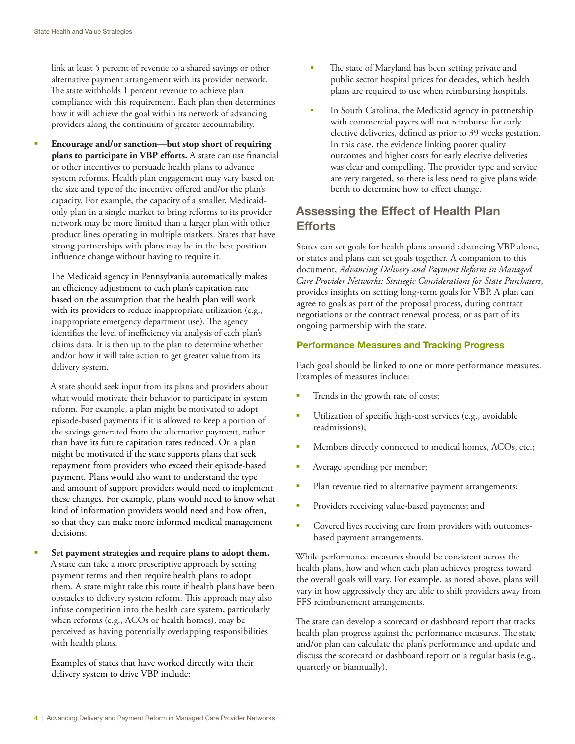link at least 5 percent of revenue to a shared savings or other alternative payment arrangement with its provider network. The state withholds 1 percent revenue to achieve plan compliance with this requirement. Each plan then determines how it will achieve the goal within its network of advancing providers along the continuum of greater accountability.

§ **Encourage and/or sanction—but stop short of requiring plans to participate in VBP efforts.** A state can use financial or other incentives to persuade health plans to advance system reforms. Health plan engagement may vary based on the size and type of the incentive offered and/or the plan's capacity. For example, the capacity of a smaller, Medicaidonly plan in a single market to bring reforms to its provider network may be more limited than a larger plan with other product lines operating in multiple markets. States that have strong partnerships with plans may be in the best position influence change without having to require it.

The Medicaid agency in Pennsylvania automatically makes an efficiency adjustment to each plan's capitation rate based on the assumption that the health plan will work with its providers to reduce inappropriate utilization (e.g., inappropriate emergency department use). The agency identifies the level of inefficiency via analysis of each plan's claims data. It is then up to the plan to determine whether and/or how it will take action to get greater value from its delivery system.

A state should seek input from its plans and providers about what would motivate their behavior to participate in system reform. For example, a plan might be motivated to adopt episode-based payments if it is allowed to keep a portion of the savings generated from the alternative payment, rather than have its future capitation rates reduced. Or, a plan might be motivated if the state supports plans that seek repayment from providers who exceed their episode-based payment. Plans would also want to understand the type and amount of support providers would need to implement these changes. For example, plans would need to know what kind of information providers would need and how often, so that they can make more informed medical management decisions.

§ **Set payment strategies and require plans to adopt them.**  A state can take a more prescriptive approach by setting payment terms and then require health plans to adopt them. A state might take this route if health plans have been obstacles to delivery system reform. This approach may also infuse competition into the health care system, particularly when reforms (e.g., ACOs or health homes), may be perceived as having potentially overlapping responsibilities with health plans.

Examples of states that have worked directly with their delivery system to drive VBP include:

- The state of Maryland has been setting private and public sector hospital prices for decades, which health plans are required to use when reimbursing hospitals.
- In South Carolina, the Medicaid agency in partnership with commercial payers will not reimburse for early elective deliveries, defined as prior to 39 weeks gestation. In this case, the evidence linking poorer quality outcomes and higher costs for early elective deliveries was clear and compelling. The provider type and service are very targeted, so there is less need to give plans wide berth to determine how to effect change.

### Assessing the Effect of Health Plan Efforts

States can set goals for health plans around advancing VBP alone, or states and plans can set goals together. A companion to this document, *Advancing Delivery and Payment Reform in Managed Care Provider Networks: Strategic Considerations for State Purchasers*, provides insights on setting long-term goals for VBP. A plan can agree to goals as part of the proposal process, during contract negotiations or the contract renewal process, or as part of its ongoing partnership with the state.

#### Performance Measures and Tracking Progress

Each goal should be linked to one or more performance measures. Examples of measures include:

- Trends in the growth rate of costs;
- Utilization of specific high-cost services (e.g., avoidable readmissions);
- Members directly connected to medical homes, ACOs, etc.;
- Average spending per member;
- Plan revenue tied to alternative payment arrangements;
- Providers receiving value-based payments; and
- Covered lives receiving care from providers with outcomesbased payment arrangements.

While performance measures should be consistent across the health plans, how and when each plan achieves progress toward the overall goals will vary. For example, as noted above, plans will vary in how aggressively they are able to shift providers away from FFS reimbursement arrangements.

The state can develop a scorecard or dashboard report that tracks health plan progress against the performance measures. The state and/or plan can calculate the plan's performance and update and discuss the scorecard or dashboard report on a regular basis (e.g., quarterly or biannually).